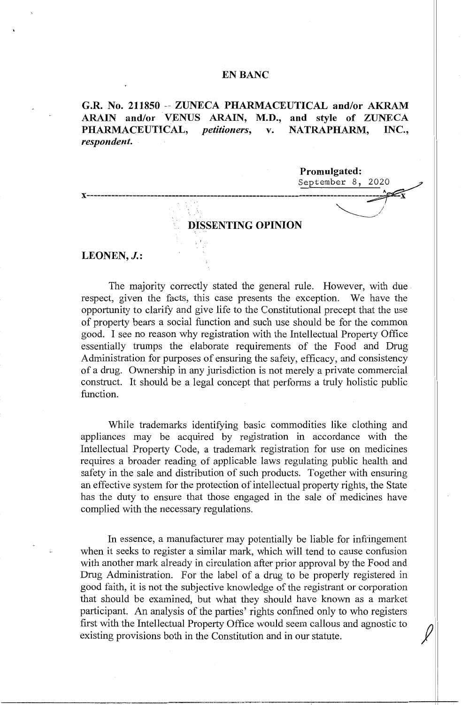## **EN BANC**

**G.R. No. 211850** - **ZUNECA PHARMACEUTICAL and/or AKRAM ARAIN and/or VENUS ARAIN, M.D., and style of ZUNECA PHARMACEUTICAL,** *petitioners,* **v. NATRAPHARM, INC.,**  *respondent.* 

**Promulgated:** 

September 8, 2020

# **DISSENTING OPINION**

**x------------------------------- -----------------------------------------------~x** 

' '' *~\_//'* 

## LEONEN, *J.*:

The majority correctly stated the general rule. However, with due respect, given the facts, this case presents the exception. We have the opportunity to clarify and give life to the Constitutional precept that the use of property bears a social function and such use should be for the common good. I see no reason why registration with the Intellectual Property Office essentially trumps the elaborate requirements of the Food and Drug Administration for purposes of ensuring the safety, efficacy, and consistency of a drug. Ownership in any jurisdiction is not merely a private commercial construct. It should be a legal concept that performs a truly holistic public function.

While trademarks identifying basic commodities like clothing and appliances may be acquired by registration in accordance with the Intellectual Property Code, a trademark registration for use on medicines requires a broader reading of applicable laws regulating public health and safety in the sale and distribution of such products. Together with ensuring an effective system for the protection of intellectual property rights, the State has the duty to ensure that those engaged in the sale of medicines have complied with the necessary regulations.

In essence, a manufacturer may potentially be liable for infringement when it seeks to register a similar mark, which will tend to cause confusion with another mark already in circulation after prior approval by the Food and Drug Administration. For the label of a drug to be properly registered in good faith, it is not the subjective knowledge of the registrant or corporation that should be examined, but what they should have known as a market participant. An analysis of the parties' rights confined only to who registers first with the Intellectual Property Office would seem callous and agnostic to *()*  existing provisions both in the Constitution and in our statute.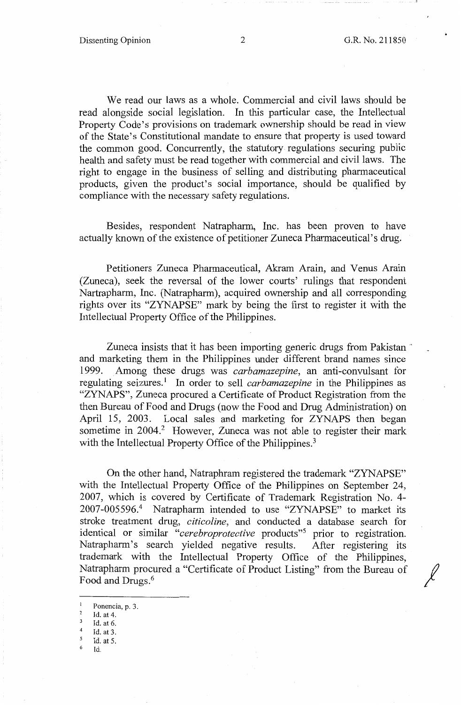*I* 

We read our laws as a whole. Commercial and civil laws should be read alongside social legislation. In this particular case, the Intellectual Property Code's provisions on trademark ownership should be read in view of the State's Constitutional mandate to ensure that property is used toward the common good. Concurrently, the statutory regulations securing public health and safety must be read together with commercial and civil laws. The right to engage in the business of selling and distributing pharmaceutical products, given the product's social importance, should be qualified by compliance with the necessary safety regulations.

Besides, respondent Natrapharm, Inc. has been proven to have actually known of the existence of petitioner Zuneca Pharmaceutical's drug.

Petitioners Zuneca Pharmaceutical, Akram Arain, and Venus Arain (Zuneca), seek the reversal of the lower courts' rulings that respondent Nartrapharm, Inc. (Natrapharm), acquired ownership and all corresponding rights over its "ZYNAPSE" mark by being the first to register it with the Intellectual Property Office of the Philippines.

Zuneca insists that it has been importing generic drugs from Pakistan · and marketing them in the Philippines under different brand names since 1999. Among these drugs was *carbamazepine,* an anti-convulsant for regulating seizures.<sup>1</sup> In order to sell *carbamazepine* in the Philippines as "ZYNAPS", Zuneca procured a Certificate of Product Registration from the then Bureau of Food and Drugs (now the Food and Drug Administration) on April 15, 2003. Local sales and marketing for ZYNAPS then began sometime in 2004.<sup>2</sup> However, Zuneca was not able to register their mark with the Intellectual Property Office of the Philippines.<sup>3</sup>

On the other hand, Natraphram registered the trademark "ZYNAPSE" with the Intellectual Property Office of the Philippines on September 24, 2007, which is covered by Certificate of Trademark Registration No. 4- 2007-005596.4 Natrapharm intended to use "ZYNAPSE" to market its stroke treatment drug, *citicoline,* and conducted a database search for identical or similar "cerebroprotective products"<sup>5</sup> prior to registration. Natrapharm's search yielded negative results. After registering its trademark with the Intellectual Property Office of the Philippines, Natraphann procured a "Certificate of Product Listing" from the Bureau of Food and Drugs. <sup>6</sup>

- 2 Id. at 4.
- 3 Id. at 6.
- $^{4}$  Id. at 3.
- $\frac{5}{6}$  Id. at 5.

<sup>6</sup>Id.

Ponencia, p. 3.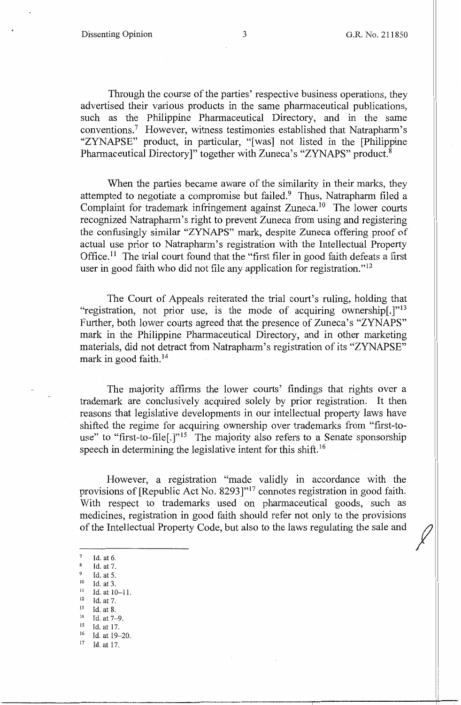*I* 

Through the course of the parties' respective business operations, they advertised their various products in the same pharmaceutical publications, such as the Philippine Pharmaceutical Directory, and in the same conventions.<sup>7</sup> However, witness testimonies established that Natrapharm's "ZYNAPSE" product, in particular, "[was] not listed in the [Philippine Pharmaceutical Directory]" together with Zuneca's "ZYNAPS" product.<sup>8</sup>

When the parties became aware of the similarity in their marks, they attempted to negotiate a compromise but failed.<sup>9</sup> Thus, Natrapharm filed a Complaint for trademark infringement against Zuneca.<sup>10</sup> The lower courts recognized Natrapharm's right to prevent Zuneca from using and registering the confusingly similar "ZYNAPS" mark, despite Zuneca offering proof of actual use prior to Natrapharm's registration with the Intellectual Property Office.<sup>11</sup> The trial court found that the "first filer in good faith defeats a first user in good faith who did not file any application for registration."<sup>12</sup>

The Court of Appeals reiterated the trial court's ruling, holding that "registration, not prior use, is the mode of acquiring ownership $[.]$ "<sup>13</sup> Further, both lower courts agreed that the presence of Zuneca's "ZYNAPS" mark in the Philippine Pharmaceutical Directory, and in other marketing materials, did not detract from Natrapharm's registration of its "ZYNAPSE" mark in good faith.<sup>14</sup>

The majority affirms the lower courts' findings that rights over a trademark are conclusively acquired solely by prior registration. It then reasons that legislative developments in our intellectual property laws have shifted the regime for acquiring ownership over trademarks from "first-touse" to "first-to-file[.]"<sup>15</sup> The majority also refers to a Senate sponsorship speech in determining the legislative intent for this shift.<sup>16</sup>

However, a registration "made validly in accordance with the provisions of [Republic Act No. 8293]"<sup>17</sup> connotes registration in good faith. With respect to trademarks used on pharmaceutical goods, such as medicines, registration in good faith should refer not only to the provisions of the Intellectual Property Code, but also to the laws regulating the sale and

- Id. at 6.
- $^{8}$  Id. at 7.
- 
- 9 Id. at 5.<br>
<sup>10</sup> Id. at 3.<br>
<sup>11</sup> Id. at 10-11.<br>
<sup>12</sup> Id. at 8.<br>
<sup>14</sup> Id. at 7-9.<br>
<sup>15</sup> Id. at 17
- 
- 
- 
- 
- $^{15}$  Id. at 17.<br> $^{16}$  Id at 19. Id. at 19-20.
- $17$  Id. at 17.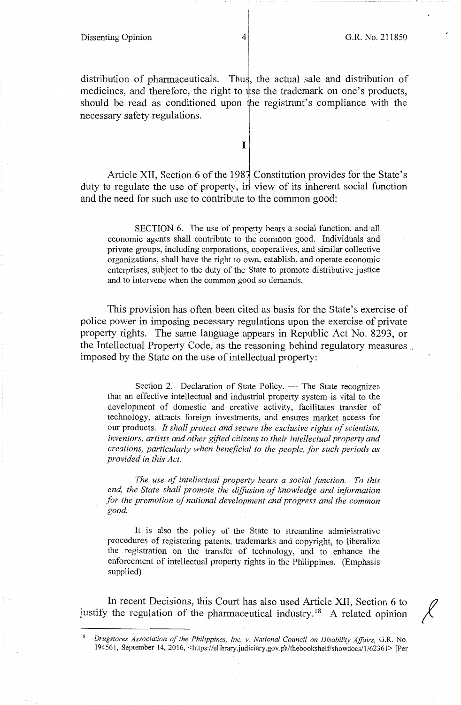#### Dissenting Opinion 4 G.R. No. 211850

\_" ll \_

distribution of pharmaceuticals. Thus, the actual sale and distribution of medicines, and therefore, the right to use the trademark on one's products, should be read as conditioned upon the registrant's compliance with the necessary safety regulations.

I

Article XII, Section 6 of the 1987 Constitution provides for the State's duty to regulate the use of property, in view of its inherent social function and the need for such use to contribute to the common good:

SECTION 6. The use of property bears a social function, and all economic agents shall contribute to the common good. Individuals and private groups, including corporations, cooperatives, and similar collective organizations, shall have the right to own, establish, and operate economic enterprises, subject to the duty of the State to promote distributive justice and to intervene when the common good so demands.

This provision has often been cited as basis for the State's exercise of police power in imposing necessary regulations upon the exercise of private property rights. The same language appears in Republic Act No. 8293, or the Intellectual Property Code, as the reasoning behind regulatory measures . imposed by the State on the use of intellectual property:

Section 2. Declaration of State Policy. - The State recognizes that an effective intellectual and industrial property system is vital to the development of domestic and creative activity, facilitates transfer of technology, attracts foreign investments, and ensures market access for our products. *It shall protect and secure the exclusive rights of scientists, inventors, artists and other gifted citizens to their intellectual property and creations, particularly when beneficial to the people, for such periods as provided in this Act.* 

*The use of intellectual property bears a social function. To this*  end, the State shall promote the diffusion of knowledge and information *for the promotion of national development and progress and the common good.* 

It is also the policy of the State to streamline administrative procedures of registering patents, trademarks and copyright, to liberalize the registration on the transfer of technology, and to enhance the enforcement of intellectual property rights in the Philippines. (Emphasis supplied)

In recent Decisions, this Court has also used Article XII, Section 6 to justify the regulation of the pharmaceutical industry.<sup>18</sup> A related opinion

<sup>18</sup>*Drugstores Association of the Philippines, Inc. v. National Council on Disability Affairs,* G.R. No. 194561, September 14, 2016, <https://el ibrary.judiciary.gov.ph/thebookshelf/showdocs/1/62361> [Per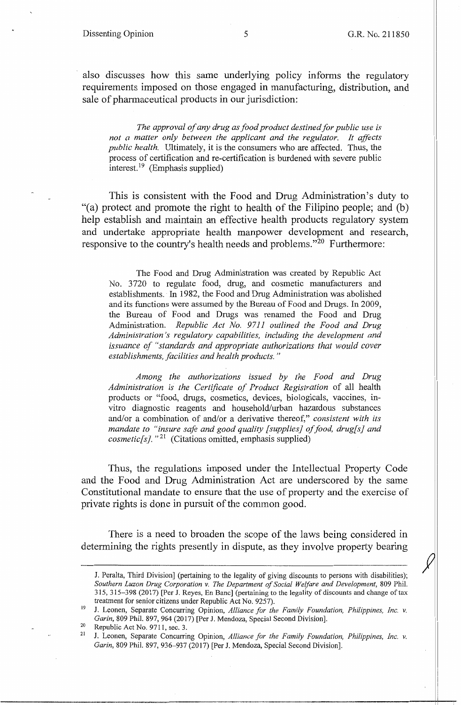also discusses how this same underlying policy informs the regulatory requirements imposed on those engaged in manufacturing, distribution, and sale of pharmaceutical products in our jurisdiction:

*The approval of any drug as food product destined for public use is not a matter only between the applicant and the regulator. It affects public health.* Ultimately, it is the consumers who are affected. Thus, the process of certification and re-certification is burdened with severe public interest. 19 (Emphasis supplied)

This is consistent with the Food and Drug Administration's duty to "(a) protect and promote the right to health of the Filipino people; and (b) help establish and maintain an effective health products regulatory system and undertake appropriate health manpower development and research, responsive to the country's health needs and problems."<sup>20</sup> Furthermore:

The Food and Drug Administration was created by Republic Act No. 3720 to regulate food, drug, and cosmetic manufacturers and establishments. In 1982, the Food and Drug Administration was abolished and its functions were assumed by the Bureau of Food and Drugs. In 2009, the Bureau of Food and Drugs was renamed the Food and Drug Administration. *Republic Act No. 9711 outlined the Food and Drug Administration's regulatory capabilities, including the development and issuance of "standards and appropriate authorizations that would cover establishments, facilities and health products.* "

*Among the authorizations issued by the Food and Drug Administration is the Certificate of Product Registration* of all health products or "food, drugs, cosmetics, devices, biologicals, vaccines, invitro diagnostic reagents and household/urban hazardous substances and/or a combination of and/or a derivative thereof," *consistent with its mandate to "insure safe and good quality [supplies] of food, drug[s] and*  cosmetic[s]. "<sup>21</sup> (Citations omitted, emphasis supplied)

Thus, the regulations imposed under the Intellectual Property Code and the Food and Drug Administration Act are underscored by the same Constitutional mandate to ensure that the use of property and the exercise of private rights is done in pursuit of the common good.

There is a need to broaden the scope of the laws being considered in determining the rights presently in dispute, as they involve property bearing

19 J. Leonen, Separate Concurring Opinion, *Alliance for the Family Foundation, Philippines, Inc. v. Garin*, 809 Phil. 897, 964 (2017) [Per J. Mendoza, Special Second Division].<br>Republic Act No. 9711, sec. 3.

J. Peralta, Third Division] (pertaining to the legality of giving discounts to persons with disabilities); *Southern Luzon Drug Corporation v. The Department of Social Welfare and Development,* 809 Phil. 315, 315-398 (2017) [Per J. Reyes, En Banc] (pertaining to the legality of discounts and change of tax treatment for senior citizens under Republic Act No. 9257).

J. Leonen, Separate Concurring Opinion, *Alliance for the Family Foundation, Philippines, Inc. v. Garin,* 809 Phil. 897, 936-937 (2017) [Per J. Mendoza, Special Second Division].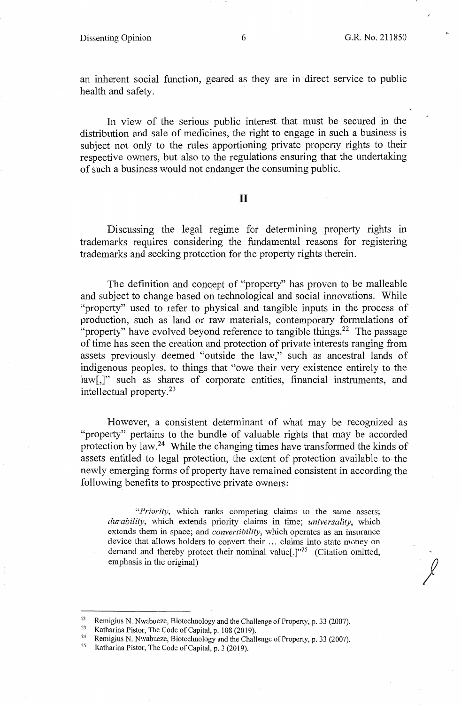## Dissenting Opinion 6 6 G.R. No. 211850

 $\chi$ 

an inherent social function, geared as they are in direct service to public health and safety.

In view of the serious public interest that must be secured in the distribution and sale of medicines, the right to engage in such a business is subject not only to the rules apportioning private property rights to their respective owners, but also to the regulations ensuring that the undertaking of such a business would not endanger the consuming public.

## II

Discussing the legal regime for determining property rights in trademarks requires considering the fundamental reasons for registering trademarks and seeking protection for the property rights therein.

The definition and concept of "property" has proven to be malleable and subject to change based on technological and social innovations. While "property" used to refer to physical and tangible inputs in the process of production, such as land or raw materials, contemporary formulations of "property" have evolved beyond reference to tangible things.<sup>22</sup> The passage of time has seen the creation and protection of private interests ranging from assets previously deemed "outside the law," such as ancestral lands of indigenous peoples, to things that "owe their very existence entirely to the law[,]" such as shares of corporate entities, financial instruments, and intellectual property. <sup>23</sup>

However, a consistent determinant of what may be recognized as "property" pertains to the bundle of valuable rights that may be accorded protection by law. 24 While the changing times have transformed the kinds of assets entitled to legal protection, the extent of protection available to the newly emerging forms of property have remained consistent in according the following benefits to prospective private owners:

*"Priority,* which ranks competing claims to the same assets; *durability,* which extends priority claims in time; *universality,* which extends them in space; and *convertibility,* which operates as an insurance device that allows holders to convert their ... claims into state money on demand and thereby protect their nominal value<sup>[1]</sup><sup>25</sup> (Citation omitted, emphasis in the original)

<sup>&</sup>lt;sup>22</sup> Remigius N. Nwabueze, Biotechnology and the Challenge of Property, p. 33 (2007).<br><sup>23</sup> Katharina Bistar, The Code of Capital m. 108 (2010).

<sup>&</sup>lt;sup>23</sup> Katharina Pistor, The Code of Capital, p. 108 (2019).<br><sup>24</sup> Remigius N. Nwabueze, Biotechnology and the Challenge of Property, p. 33 (2007).<br><sup>25</sup> Katharina Pistor, The Code of Capital, p. 3 (2019).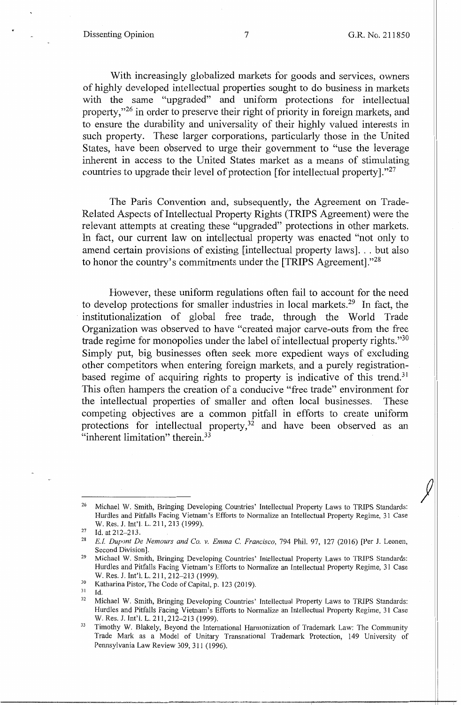*j* 

With increasingly globalized markets for goods and services, owners of highly developed intellectual properties sought to do business in markets with the same "upgraded" and uniform protections for intellectual property,"26 in order to preserve their right of priority in foreign markets, and to ensure the durability and universality of their highly valued interests in such property. These larger corporations, particularly those in the United States, have been observed to urge their government to "use the leverage inherent in access to the United States market as a means of stimulating countries to upgrade their level of protection [for intellectual property]."<sup>27</sup>

The Paris Convention and, subsequently, the Agreement on Trade-Related Aspects of Intellectual Property Rights (TRIPS Agreement) were the relevant attempts at creating these "upgraded" protections in other markets. In fact, our current law on intellectual property was enacted "not only to amend certain provisions of existing [intellectual property laws]. . . but also to honor the country's commitments under the [TRIPS Agreement]."<sup>28</sup>

However, these uniform regulations often fail to account for the need to develop protections for smaller industries in local markets.<sup>29</sup> In fact, the institutionalization of global free trade, through the World Trade Organization was observed to have "created major carve-outs from the free trade regime for monopolies under the label of intellectual property rights."<sup>30</sup> Simply put, big businesses often seek more expedient ways of excluding other competitors when entering foreign markets, and a purely registrationbased regime of acquiring rights to property is indicative of this trend.<sup>31</sup> This often hampers the creation of a conducive "free trade" environment for the intellectual properties of smaller and often local businesses. These competing objectives are a common pitfall in efforts to create uniform protections for intellectual property, $32$  and have been observed as an "inherent limitation" therein.<sup>33</sup>

<sup>&</sup>lt;sup>26</sup> Michael W. Smith, Bringing Developing Countries' Intellectual Property Laws to TRIPS Standards: Hurdles and Pitfalls Facing Vietnam's Efforts to Normalize an Intellectual Property Regime, 31 Case W. Res. J. Int'l. L. 211, 213 (1999).

<sup>&</sup>lt;sup>27</sup> Id. at 212–213.<br><sup>28</sup> *E.I. Dupont De Nemours and Co. v. Emma C. Francisco, 794 Phil. 97, 127 (2016) [Per J. Leonen,* Second Division].<br><sup>29</sup> Michael W. Smith, Bringing Developing Countries' Intellectual Property Laws to TRIPS Standards:

Hurdles and Pitfalls Facing Vietnam's Efforts to Normalize an Intellectual Property Regime, 31 Case W. Res. J. Int'l. L. 211, 212–213 (1999).<br><sup>30</sup> Katharina Pistor, The Code of Capital, p. 123 (2019).

<sup>&</sup>lt;sup>31</sup> Id.<br><sup>32</sup> Michael W. Smith, Bringing Developing Countries' Intellectual Property Laws to TRIPS Standards: Hurdles and Pitfalls Facing Vietnam's Efforts to Normalize an Intellectual Property Regime, 31 Case W. Res. J. Int'l. L. 211, 212-213 (1999).

<sup>&</sup>lt;sup>33</sup> Timothy W. Blakely, Beyond the International Harmonization of Trademark Law: The Community Trade Mark as a Model of Unitary Transnational Trademark Protection, 149 University of Pennsylvania Law Review 309,311 (1996).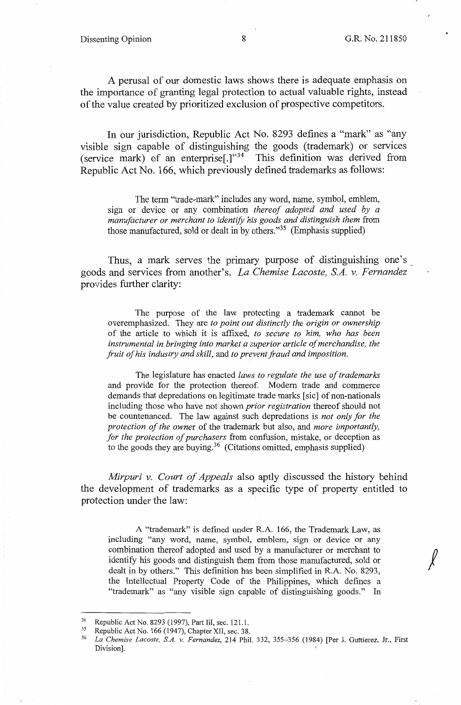*!* 

A perusal of our domestic laws shows there is adequate emphasis on the importance of granting legal protection to actual valuable rights, instead of the value created by prioritized exclusion of prospective competitors.

In our jurisdiction, Republic Act No. 8293 defines a "mark" as "any visible sign capable of distinguishing the goods (trademark) or services (service mark) of an enterprise<sup>[1]</sup><sup>34</sup> This definition was derived from Republic Act No. 166, which previously defined trademarks as follows:

The term "trade-mark" includes any word, name, symbol, emblem, sign or device or any combination *thereof adopted and used by a manufacturer or merchant to identify his goods and distinguish them* from those manufactured, sold or dealt in by others."35 (Emphasis supplied)

Thus, a mark serves the primary purpose of distinguishing one's goods and services from another's. *La Chemise Lacoste, S.A. v. Fernandez*  provides further clarity:

The purpose of the law protecting a trademark cannot be overemphasized. They are *to point out distinctly the origin or ownership*  of the article to which it is affixed, *to secure to him, who has been instrumental in bringing into market a superior article of merchandise, the fruit of his industry and skill,* and *to prevent fraud and imposition.* 

The legislature has enacted *laws to regulate the use of trademarks*  and provide for the protection thereof. Modern trade and commerce demands that depredations on legitimate trade marks [sic] of non-nationals including those who have not shown *prior registration* thereof should not be countenanced. The law against such depredations is *not only for the protection of the owner* of the trademark but also, and *more importantly, for the protection of purchasers* from confusion, mistake, or deception as to the goods they are buying.<sup>36</sup> (Citations omitted, emphasis supplied)

*Mirpuri v. Court of Appeals* also aptly discussed the history behind the development of trademarks as a specific type of property entitled to protection under the law:

A "trademark" is defined under R.A. 166, the Trademark Law, as including "any word, name, symbol, emblem, sign or device or any combination thereof adopted and used by a manufacturer or merchant to identify his goods and distinguish them from those manufactured, sold or dealt in by others." This definition has been simplified in R.A. No. 8293, the Intellectual Property Code of the Philippines, which defines a "trademark" as "any visible sign capable of distinguishing goods." In

<sup>34</sup> Republic Act No. 8293 (1997), Part III, sec. 121.1. 35 Republic Act No. 166 (1947), Chapter XII, sec. 38. 36 *La Chemise Lacoste, S.A. v. Fernandez,* 214 Phil. 332, 355-356 (1984) [Per J. Guttierez, Jr., First Division].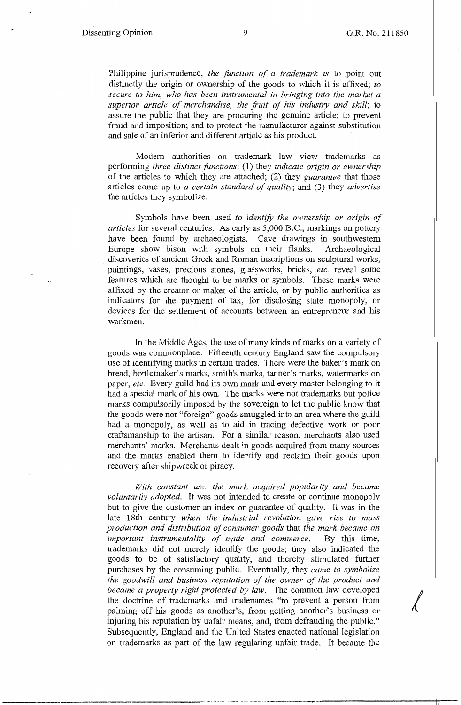Philippine jurisprudence, *the function of a trademark is* to .point out distinctly the origin or ownership of the goods to which it is affixed; *to secure to him, who has been instrumental in bringing into the market a*  superior article of merchandise, the fruit of his industry and skill; to assure the public that they are procuring the genuine article; to prevent fraud and imposition; and to protect the manufacturer against substitution and sale of an inferior and different article as his product.

Modern authorities on trademark law view trademarks as performing *three distinct functions:* (1) they *indicate origin or ownership*  of the articles to which they are attached; (2) they *guarantee* that those articles come up to *a certain standard of quality;* and (3) they *advertise*  the articles they symbolize.

Symbols have been used *to identify the ownership or origin of articles* for several centuries. As early as 5,000 B.C., markings on pottery have been found by archaeologists. Cave drawings in southwestern Europe show bison with symbols on their flanks. Archaeological discoveries of ancient Greek and Roman inscriptions on sculptural works, paintings, vases, precious stones, glassworks, bricks, *etc.* reveal some features which are thought to be marks or symbols. These marks were affixed by the creator or maker of the article, or by public authorities as indicators for the payment of tax, for disclosing state monopoly, or devices for the settlement of accounts between an entrepreneur and his workmen.

In the Middle Ages, the use of many kinds of marks on a variety of goods was commonplace. Fifteenth century England saw the compulsory use of identifying marks in certain trades. There were the baker's mark on bread, bottlemaker's marks, smith's marks, tanner's marks, watermarks on paper, *etc.* Every guild had its own mark and every master belonging to it had a special mark of his own. The marks were not trademarks but police marks compulsorily imposed by the sovereign to let the public know that the goods were not "foreign" goods smuggled into an area where the guild had a monopoly, as well as to aid in tracing defective work or poor craftsmanship to the artisan. For a similar reason, merchants also used merchants' marks. Merchants dealt in goods acquired from many sources and the marks enabled them to identify and reclaim their goods upon recovery after shipwreck or piracy.

*With constant use, the mark acquired popularity and became voluntarily adopted.* It was not intended to create or continue monopoly but to give the customer an index or guarantee of quality. It was in the late 18th century *when the industrial revolution gave rise to mass production and distribution of consumer goods* that *the mark became an important instrumentality of trade and commerce.* By this time, trademarks did not merely identify the goods; they also indicated the goods to be of satisfactory quality, and thereby stimulated further purchases by the consuming public. Eventually, they *came to symbolize the goodwill and business reputation of the owner of the product and*  purchases by the consuming public. Eventually, they *came to symbolize*<br>*the goodwill and business reputation of the owner of the product and*<br>*became a property right protected by law.* The common law developed<br>the doctri the doctrine of trademarks and tradenames "to prevent a person from palming off his goods as another's, from getting another's business or injuring his reputation by unfair means, and, from defrauding the public." Subsequently, England and the United States enacted national legislation on trademarks as part of the law regulating unfair trade. It became the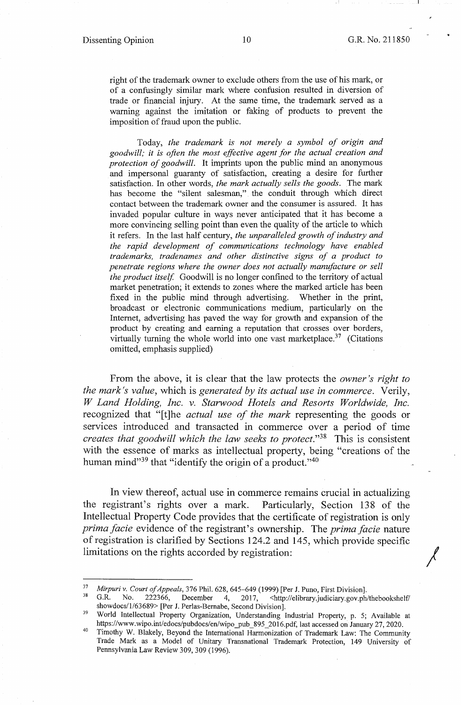*r* 

•

right of the trademark owner to exclude others from the use of his mark, or of a confusingly similar mark where confusion resulted in diversion of trade or financial injury. At the same time, the trademark served as a warning against the imitation or faking of products to prevent the imposition of fraud upon the public.

Today, *the trademark is not merely a symbol of origin and goodwill; it is often the most effective agent for the actual creation and protection of goodwill.* It imprints upon the public mind an anonymous and impersonal guaranty of satisfaction, creating a desire for further satisfaction. In other words, *the mark actually sells the goods.* The mark has become the "silent salesman," the conduit through which direct contact between the trademark owner and the consumer is assured. It has invaded popular culture in ways never anticipated that it has become a more convincing selling point than even the quality of the article to which it refers. In the last half century, *the unparalleled growth of industry and the rapid development of communications technology have enabled trademarks, tradenames and other distinctive signs of a product to penetrate regions where the owner does not actually manufacture or sell the product itself.* Goodwill is no longer confined to the territory of actual market penetration; it extends to zones where the marked article has been fixed in the public mind through advertising. Whether in the print, broadcast or electronic communications medium, particularly on the Internet, advertising has paved the way for growth and expansion of the product by creating and earning a reputation that crosses over borders, virtually turning the whole world into one vast marketplace.<sup>37</sup> (Citations omitted, emphasis supplied)

From the above, it is clear that the law protects the *owner's right to the mark's value,* which is *generated by its actual use in commerce.* Verily, *W Land Holding, Inc. v. Starwood Hotels and Resorts Worldwide, Inc.*  recognized that "[t]he *actual use of the mark* representing the goods or services introduced and transacted in commerce over a period of time *creates that goodwill which the law seeks to protect.*"<sup>38</sup> This is consistent with the essence of marks as intellectual property, being "creations of the human mind<sup>339</sup> that "identify the origin of a product.<sup>340</sup>

In view thereof, actual use in commerce remains crucial in actualizing the registrant's rights over a mark. Particularly, Section 138 of the Intellectual Property Code provides that the certificate of registration is only *prima facie* evidence of the registrant's ownership. The *prima facie* nature of registration is clarified by Sections 124.2 and 145, which provide specific limitations on the rights accorded by registration:

<sup>&</sup>lt;sup>37</sup> Mirpuri v. Court of Appeals, 376 Phil. 628, 645–649 (1999) [Per J. Puno, First Division].<br><sup>38</sup> G.R. No. 222366, December 4, 2017, <http://elibrary.judiciary.gov.ph/thebookshelf/<br>showdocs/1/63689> [Per J. Perlas-Bernab

<sup>&</sup>lt;sup>39</sup> World Intellectual Property Organization, Understanding Industrial Property, p. 5; Available at https://www.wipo.int/edocs/pubdocs/en/wipo\_pub\_895 \_2016.pdf, last accessed on January 27, 2020.

<sup>40</sup> Timothy W. Blakely, Beyond the International Harmonization of Trademark Law: The Community Trade Mark as a Model of Unitary Transnational Trademark Protection, 149 University of Pennsylvania Law Review 309,309 (1996).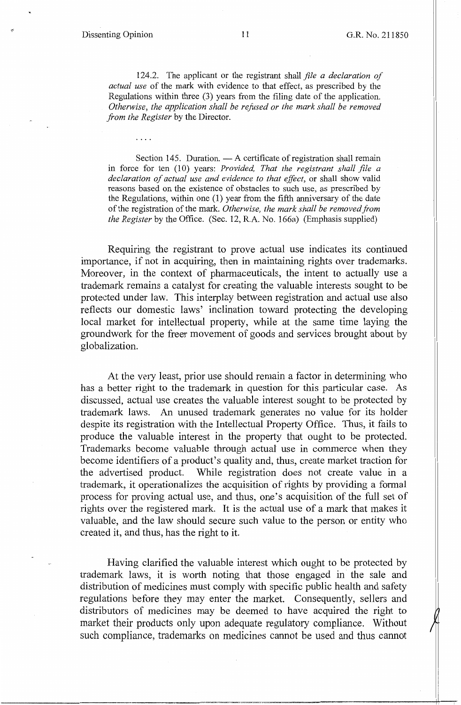124.2. The applicant or the registrant shall *file a declaration of actual use* of the mark with evidence to that effect, as prescribed by the Regulations within three (3) years from the filing date of the application. *Otherwise, the application shall be refused or the mark shall be removed from the Register* by the Director.

Section 145. Duration.  $- A$  certificate of registration shall remain in force for ten (10) years: *Provided, That the registrant shall file a declaration of actual use and evidence to that effect,* or shall show valid reasons based on the existence of obstacles to such use, as prescribed by the Regulations, within one (1) year from the fifth anniversary of the date of the registration of the mark. *Otherwise, the mark shall be removed from the Register* by the Office. (Sec. 12, R.A. No. 166a) (Emphasis supplied)

Requiring the registrant to prove actual use indicates its continued importance, if not in acquiring, then in maintaining rights over trademarks. Moreover, in the context of pharmaceuticals, the intent to actually use a trademark remains a catalyst for creating the valuable interests sought to be protected under law. This interplay between registration and actual use also reflects our domestic laws' inclination toward protecting the developing local market for intellectual property, while at the same time laying the groundwork for the freer movement of goods and services brought about by globalization.

At the very least, prior use should remain a factor in determining who has a better right to the trademark in question for this particular case. As discussed, actual use creates the valuable interest sought to be protected by trademark laws. An unused trademark generates no value for its holder despite its registration with the Intellectual Property Office. Thus, it fails to produce the valuable interest in the property that ought to be protected. Trademarks become valuable through actual use in commerce when they become identifiers of a product's quality and, thus, create market traction for the advertised product. While registration does not create value in a trademark, it operationalizes the acquisition of rights by providing a formal process for proving actual use, and thus, one's acquisition of the full set of rights over the registered mark. It is the actual use of a mark that makes it valuable, and the law should secure such value to the person or entity who created it, and thus, has the right to it.

Having clarified the valuable interest which ought to be protected by trademark laws, it is worth noting that those engaged in the sale and distribution of medicines must comply with specific public health and safety regulations before they may enter the market. Consequently, sellers and distributors of medicines may be deemed to have acquired the right to market their products only upon adequate regulatory compliance. Without such compliance, trademarks on medicines cannot be used and thus cannot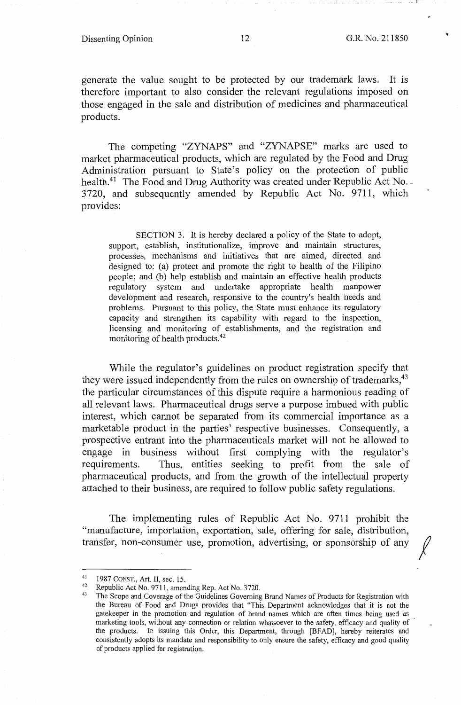### Dissenting Opinion 12 G.R. No. 211850

 $\cdots$  1

*I* 

generate the value sought to be protected by our trademark laws. It is therefore important to also consider the relevant regulations imposed on those engaged in the sale and distribution of medicines and pharmaceutical products.

The competing "ZYNAPS" and "ZYNAPSE" marks are used to market pharmaceutical products, which are regulated by the Food and Drug Administration pursuant to State's policy on the protection of public health.<sup>41</sup> The Food and Drug Authority was created under Republic Act No. . 3720, and subsequently amended by Republic Act No. 9711, which provides:

SECTION 3. It is hereby declared a policy of the State to adopt, support, establish, institutionalize, improve and maintain structures, processes, mechanisms and initiatives that are aimed, directed and designed to: (a) protect and promote the right to health of the Filipino people; and (b) help establish and maintain an effective health products regulatory system and undertake appropriate health manpower development and research, responsive to the country's health needs and problems. Pursuant to this policy, the State must enhance its regulatory capacity and strengthen its capability with regard to the inspection, licensing and monitoring of establishments, and the registration and monitoring of health products.42

While the regulator's guidelines on product registration specify that they were issued independently from the rules on ownership of trademarks,<sup>43</sup> the particular circumstances of this dispute require a harmonious reading of all relevant laws. Pharmaceutical drugs serve a purpose imbued with public interest, which cannot be separated from its commercial importance as a marketable product in the parties' respective businesses. Consequently, a prospective entrant into the pharmaceuticals market will not be allowed to engage in business without first complying with the regulator's requirements. Thus, entities seeking to profit from the sale of pharmaceutical products, and from the growth of the intellectual property attached to their business, are required to follow public safety regulations.

The implementing rules of Republic Act No. 9711 prohibit the "manufacture, importation, exportation, sale, offering for sale, distribution, transfer, non-consumer use, promotion, advertising, or sponsorship of any

<sup>1987</sup> CONST., Art. II, sec. 15.<br><sup>42</sup> Republic Act No. 9711, amending Rep. Act No. 3720.<br><sup>43</sup> The Scope and Coverage of the Guidelines Governing Brand Names of Products for Registration with the Bureau of Food and Drugs provides that "This Department acknowledges that it is not the gatekeeper in the promotion and regulation of brand names which are often times being used as marketing tools, without any connection or relation whatsoever to the safety, efficacy and quality of the products. In issuing this Order, this Department, through [BF AD], hereby reiterates and consistently adopts its mandate and responsibility to only ensure the safety, efficacy and good quality of products applied for registration.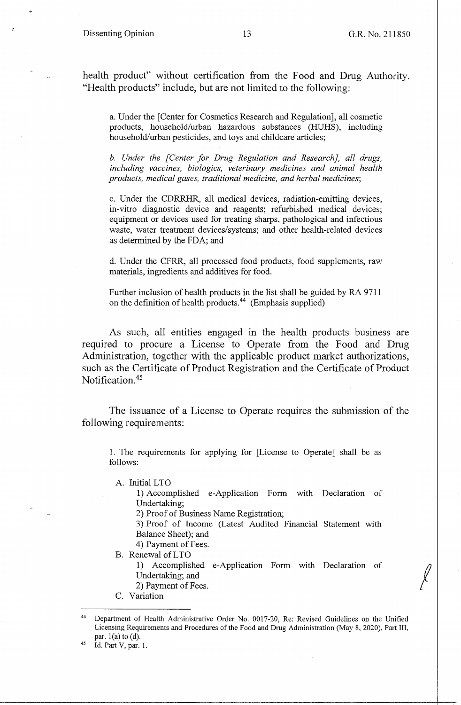health product" without certification from the Food and Drug Authority. "Health products" include, but are not limited to the following:

a. Under the [Center for Cosmetics Research and Regulation], all cosmetic products, household/urban hazardous substances (HUHS), including household/urban pesticides, and toys and childcare articles;

*b. Under the [Center for Drug Regulation and Research], all drugs, including vaccines, biologics, veterinary medicines and animal health products, medical gases, traditional medicine, and herbal medicines;* 

c. Under the CDRRHR, all medical devices, radiation-emitting devices, in-vitro diagnostic device and reagents; refurbished medical devices; equipment or devices used for treating sharps, pathological and infectious waste, water treatment devices/systems; and other health-related devices as determined by the FDA; and

d. Under the CFRR, all processed food products, food supplements, raw materials, ingredients and additives for food.

Further inclusion of health products in the list shall be guided by RA 9711 on the definition of health products.44 (Emphasis supplied)

As such, all entities engaged in the health products business are required to procure a License to Operate from the Food and Drug Administration, together with the applicable product market authorizations, such as the Certificate of Product Registration and the Certificate of Product Notification.45

The issuance of a License to Operate requires the submission of the following requirements:

1. The requirements for applying for [License to Operate] shall be as follows:

A. Initial LTO

1) Accomplished e-Application Form with Declaration of Undertaking;

2) Proof of Business Name Registration;

3) Proof of Income (Latest Audited Financial Statement with Balance Sheet); and

4) Payment of Fees.

B. Renewal ofLTO

1) Accomplished e-Application Form with Declaration of Undertaking; and

2) Payment of Fees.

C. Variation

Department of Health Administrative Order No. 0017-20, Re: Revised Guidelines on the Unified Licensing Requirements and Procedures of the Food and Drug Administration (May 8, 2020), Part III, par.  $l(a)$  to  $(d)$ .<br><sup>45</sup> Id. Part V, par. 1.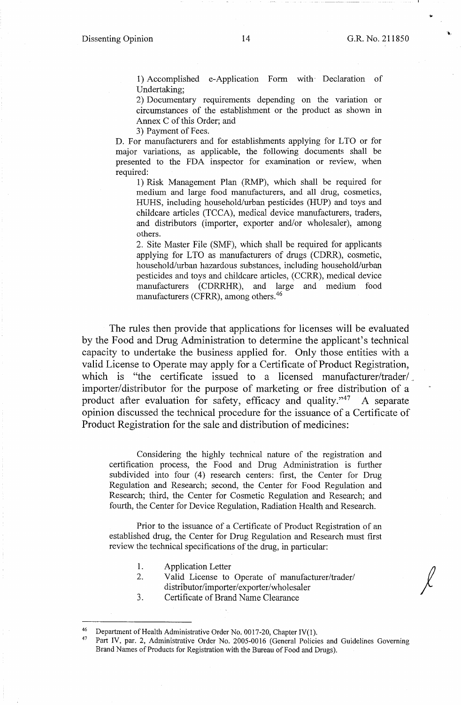-;.

*!* 

1) Accomplished e-Application Form with Declaration of Undertaking;

2) Documentary requirements depending on the variation or circumstances of the establishment or the product as shown in Annex C of this Order; and

3) Payment of Fees.

D. For manufacturers and for establishments applying for LTO or for major variations, as applicable, the following documents shall be presented to the FDA inspector for examination or review, when required:

1) Risk Management Plan (RMP), which shall be required for medium and large food manufacturers, and all drug, cosmetics, HUHS, including household/mban pesticides (HUP) and toys and childcare articles (TCCA), medical device manufacturers, traders, and distributors (importer, exporter and/or wholesaler), among others.

2. Site Master File (SMF), which shall be required for applicants applying for LTO as manufacturers of drugs (CDRR), cosmetic, household/urban hazardous substances, including household/urban pesticides and toys and childcare articles, (CCRR), medical device manufacturers (CDRRHR), and large and medium food manufacturers (CFRR), among others.<sup>46</sup>

The rules then provide that applications for licenses will be evaluated by the Food and Drug Administration to determine the applicant's technical capacity to undertake the business applied for. Only those entities with a valid License to Operate may apply for a Certificate of Product Registration, which is "the certificate issued to a licensed manufacturer/trader/. importer/distributor for the purpose of marketing or free distribution of a product after evaluation for safety, efficacy and quality."<sup>47</sup> A separate opinion discussed the technical procedure for the issuance of a Certificate of Product Registration for the sale and distribution of medicines:

Considering the highly technical nature of the registration and certification process, the Food and Drug Administration is further subdivided into four (4) research centers: first, the Center for Drug Regulation and Research; second, the Center for Food Regulation and Research; third, the Center for Cosmetic Regulation and Research; and fourth, the Center for Device Regulation, Radiation Health and Research.

Prior to the issuance of a Certificate of Product Registration of an established drug, the Center for Drug Regulation and Research must first review the technical specifications of the drug, in particular:

- 1. Application Letter
- 2. Valid License to Operate of manufacturer/trader/ distributor/importer/exporter/wholesaler
- 3. Certificate of Brand Name Clearance

<sup>&</sup>lt;sup>46</sup> Department of Health Administrative Order No. 0017-20, Chapter IV(1).<br><sup>47</sup> Part IV, par. 2. Administrative Order No. 2005, 0016 (General Beliau

Part IV, par. 2, Administrative Order No. 2005-0016 (General Policies and Guidelines Governing Brand Names of Products for Registration with the Bureau of Food and Drugs).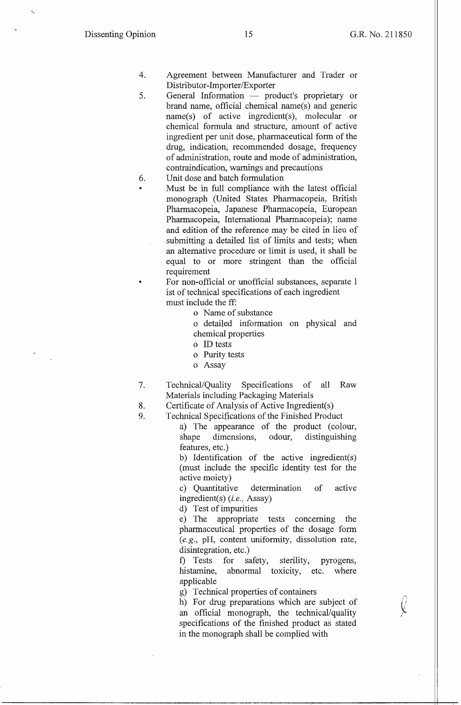~ '' li *j* 

- 4. Agreement between Manufacturer and Trader or Distributor-Importer/Exporter
- 5. General Information product's proprietary or brand name, official chemical name(s) and generic name(s) of active ingredient(s), molecular or chemical formula and structure, amount of active ingredient per unit dose, pharmaceutical form of the drug, indication, recommended dosage, frequency of administration, route and mode of administration, contraindication, warnings and precautions

## 6. Unit dose and batch formulation

Must be in full compliance with the latest official monograph (United States Pharmacopeia, British Pharmacopeia, Japanese Pharmacopeia, European Pharmacopeia, International Pharmacopeia); name and edition of the reference may be cited in lieu of submitting a detailed list of limits and tests; when an alternative procedure or limit is used, it shall be equal to or more stringent than the official requirement

• For non-official or unofficial substances, separate 1 ist of technical specifications of each ingredient must include the ff:

o Name of substance

o detailed information on physical and chemical properties

- o ID tests
- o Purity tests
- o Assay
- 7. Technical/Quality Specifications of all Raw Materials including Packaging Materials
- 8. Certificate of Analysis of Active Ingredient(s)
- 9. Technical Specifications of the Finished Product
	- a) The appearance of the product (colour, shape dimensions, odour, distinguishing features, etc.)

b) Identification of the active ingredient(s) (must include the specific identity test for the active moiety)

c) Quantitative determination of active ingredient(s) *(i.e.,* Assay)

d) Test of impurities

e) The appropriate tests concerning the pharmaceutical properties of the dosage form *(e.g.,* pH, content uniformity, dissolution rate, disintegration, etc.)

f) Tests for safety, sterility, pyrogens, histamine, abnormal toxicity, etc. where applicable

g) Technical properties of containers

h) For drug preparations which are subject of an official monograph, the technical/quality specifications of the finished product as stated in the monograph shall be complied with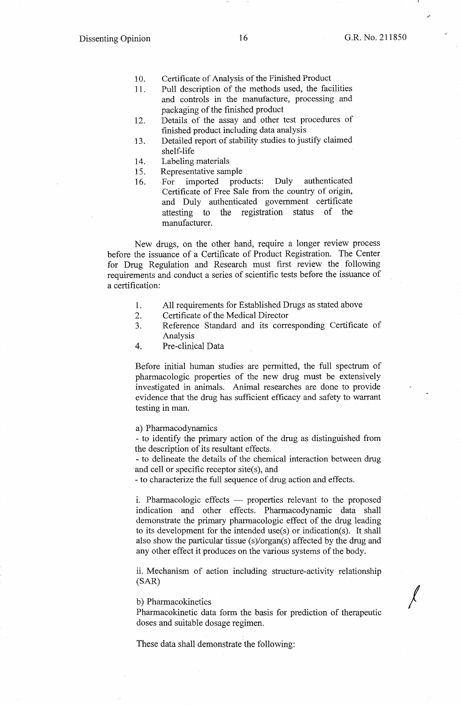*I* 

- 10. Certificate of Analysis of the Finished Product
- 11. Pull description of the methods used, the facilities and controls in the manufacture, processing and packaging of the finished product
- 12. Details of the assay and other test procedures of finished product including data analysis
- 13. Detailed report of stability studies to justify claimed shelf-life
- 14. Labeling materials
- 15. Representative sample
- 16. For imported products: Duly authenticated Certificate of Free Sale from the country of origin, and Duly authenticated government certificate attesting to the registration status of the manufacturer.

New drugs, on the other hand, require a longer review process before the issuance of a Certificate of Product Registration. The Center for Drug Regulation and Research must first review the following requirements and conduct a series of scientific tests before the issuance of a certification:

- 1. All requirements for Established Drugs as stated above
- 2. Certificate of the Medical Director
- 3. Reference Standard and its corresponding Certificate of Analysis
- 4. Pre-clinical Data

Before initial human studies are pennitted, the full spectrum of pharmacologic properties of the new drug must be extensively investigated in animals. Animal researches are done to provide evidence that the drug has sufficient efficacy and safety to warrant testing in man.

a) Pharmacodynamics

- to identify the primary action of the drug as distinguished from the description of its resultant effects.

- to delineate the details of the chemical interaction between drug and cell or specific receptor site(s), and

- to characterize the full sequence of drug action and effects.

i. Pharmacologic effects  $-$  properties relevant to the proposed indication and other effects. Pharmacodynamic data shall demonstrate the primary pharmacologic effect of the drug leading to its development for the intended use(s) or indication(s). It shall also show the particular tissue (s)/organ(s) affected by the drug and any other effect it produces on the various systems of the body.

ii. Mechanism of action including structure-activity relationship (SAR)

b) Pharmacokinetics

Pharmacokinetic data form the basis for prediction of therapeutic doses and suitable dosage regimen.

These data shall demonstrate the following: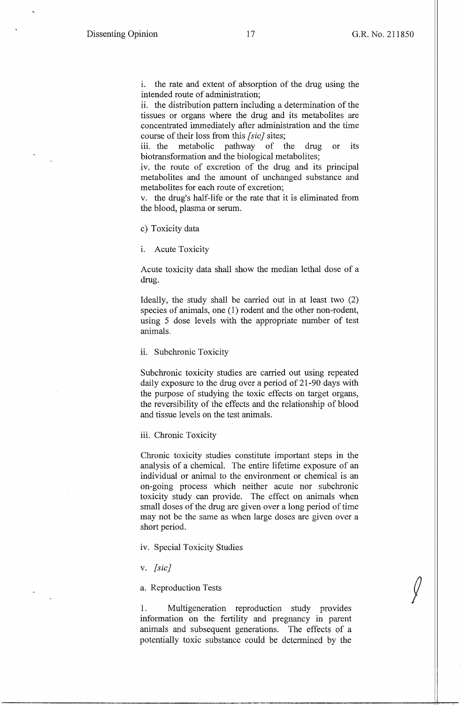i. the rate and extent of absorption of the drug using the intended route of administration;

ii. the distribution pattern including a determination of the tissues or organs where the drug and its metabolites are concentrated immediately after administration and the time course of their loss from this *[sic}* sites;

iii. the metabolic pathway of the drug or its biotransformation and the biological metabolites;

iv. the route of excretion of the drug and its principal metabolites and the amount of unchanged substance and metabolites for each route of excretion;

v. the drug's half-life or the rate that it is eliminated from the blood, plasma or serum.

c) Toxicity data

i. Acute Toxicity

Acute toxicity data shall show the median lethal dose of a drug.

Ideally, the study shall be carried out in at least two (2) species of animals, one (1) rodent and the other non-rodent, using 5 dose levels with the appropriate number of test animals.

ii. Subchronic Toxicity

Subchronic toxicity studies are carried out using repeated daily exposure to the drug over a period of 21-90 days with the purpose of studying the toxic effects on target organs, the reversibility of the effects and the relationship of blood and tissue levels on the test animals.

iii. Chronic Toxicity

Chronic toxicity studies constitute important steps in the analysis of a chemical. The entire lifetime exposure of an individual or animal to the environment or chemical is an on-going process which neither acute nor subchronic toxicity study can provide. The effect on animals when small doses of the drug are given over a long period of time may not be the same as when large doses are given over a short period.

iv. Special Toxicity Studies

v. *[sic]* 

a. Reproduction Tests

1. Multigeneration reproduction study provides information on the fertility and pregnancy in parent animals and subsequent generations. The effects of a potentially toxic substance could be determined by the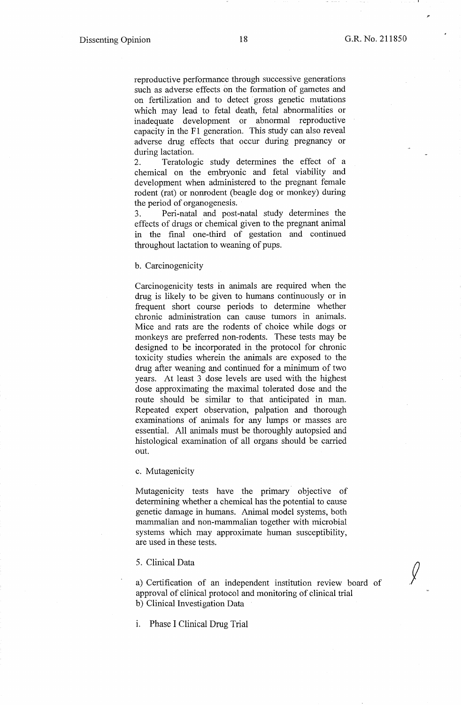$\sqrt{ }$ 

reproductive performance through successive generations such as adverse effects on the formation of gametes and on fertilization and to detect gross genetic mutations which may lead to fetal death, fetal abnormalities or inadequate development or abnormal reproductive capacity in the Fl generation. This study can also reveal adverse drug effects that occur during pregnancy or during lactation.

2. Teratologic study determines the effect of a chemical on the embryonic and fetal viability and development when administered to the pregnant female rodent (rat) or nonrodent (beagle dog or monkey) during the period of organogenesis.

3. Peri-natal and post-natal study determines the effects of drugs or chemical given to the pregnant animal in the final one-third of gestation and continued throughout lactation to weaning of pups.

#### b. Carcinogenicity

Carcinogenicity tests in animals are required when the drug is likely to be given to humans continuously or in frequent short course periods to determine whether chronic administration can cause tumors in animals. Mice and rats are the rodents of choice while dogs or monkeys are preferred non-rodents. These tests may be designed to be incorporated in the protocol for chronic toxicity studies wherein the animals are exposed to the drug after weaning and continued for a minimum of two years. At least 3 dose levels are used with the highest dose approximating the maximal tolerated dose and the route should be similar to that anticipated in man. Repeated expert observation, palpation and thorough examinations of animals for any lumps or masses are essential. All animals must be thoroughly autopsied and histological examination of all organs should be carried out.

#### c. Mutagenicity

Mutagenicity tests have the primary objective of determining whether a chemical has the potential to cause genetic damage in humans. Animal model systems, both mammalian and non-mammalian together with microbial systems which may approximate human susceptibility, are used in these tests.

### 5. Clinical Data

a) Certification of an independent institution review board of approval of clinical protocol and monitoring of clinical trial b) Clinical Investigation Data

1. Phase I Clinical Drug Trial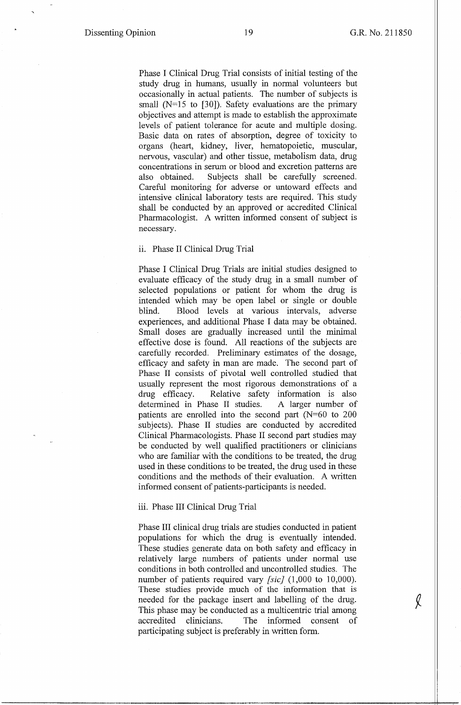$\chi$ 

Phase I Clinical Drug Trial consists of initial testing of the study drug in humans, usually in normal volunteers but occasionally in actual patients. The number of subjects is small (N=15 to [30]). Safety evaluations are the primary objectives and attempt is made to establish the approximate levels of patient tolerance for acute and multiple dosing. Basic data on rates of absorption, degree of toxicity to organs (heart, kidney, liver, hematopoietic, muscular, nervous, vascular) and other tissue, metabolism data, drug concentrations in serum or blood and excretion patterns are also obtained. Subjects shall be carefully screened. Careful monitoring for adverse or untoward effects and intensive clinical laboratory tests are required. This study shall be conducted by an approved or accredited Clinical Pharmacologist. A written informed consent of subject is necessary.

### ii. Phase II Clinical Drug Trial

Phase I Clinical Drug Trials are initial studies designed to evaluate efficacy of the study drug in a small number of selected populations or patient for whom the drug is intended which may be open label or single or double blind. Blood levels at various intervals, adverse experiences, and additional Phase I data may be obtained. Small doses are gradually increased until the minimal effective dose is found. All reactions of the subjects are carefully recorded. Preliminary estimates of the dosage, efficacy and safety in man are made. The second part of Phase II consists of pivotal well controlled studied that usually represent the most rigorous demonstrations of a drug efficacy. Relative safety information is also determined in Phase II studies. A larger number of patients are emolled into the second part (N=60 to 200 subjects). Phase II studies are conducted by accredited Clinical Pharmacologists. Phase II second part studies may be conducted by well qualified practitioners or clinicians who are familiar with the conditions to be treated, the drug used in these conditions to be treated, the drug used in these conditions and the methods of their evaluation. A written informed consent of patients-participants is needed.

### iii. Phase III Clinical Drug Trial

Phase III clinical drug trials are studies conducted in patient populations for which the drug is eventually intended. These studies generate data on both safety and efficacy in relatively large numbers of patients under normal use conditions in both controlled and uncontrolled studies. The number of patients required vary *[sic]* (1,000 to 10,000). These studies provide much of the information that is needed for the package insert and labelling of the drug. This phase may be conducted as a multicentric trial among accredited clinicians. The informed consent of participating subject is preferably in written form.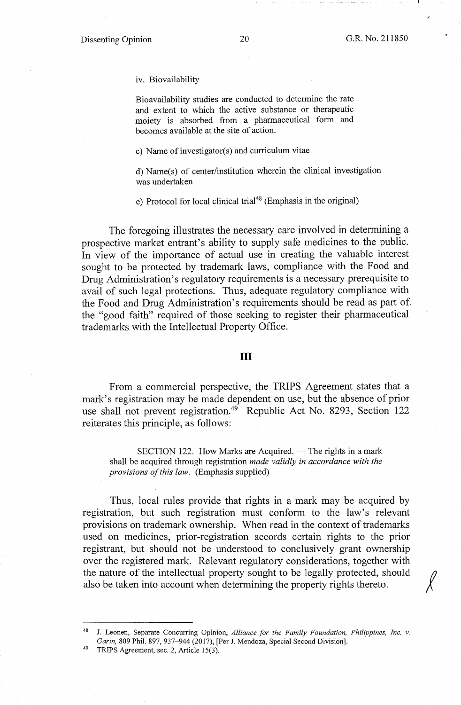iv. Biovailability

Bioavailability studies are conducted to determine the rate and extent to which the active substance or therapeutic moiety is absorbed from a pharmaceutical form and becomes available at the site of action.

c) Name of investigator(s) and curriculum vitae

d) Name(s) of center/institution wherein the clinical investigation was undertaken

e) Protocol for local clinical trial<sup>48</sup> (Emphasis in the original)

The foregoing illustrates the necessary care involved in determining a prospective market entrant's ability to supply safe medicines to the public. In view of the importance of actual use in creating the valuable interest sought to be protected by trademark laws, compliance with the Food and Drug Administration's regulatory requirements is a necessary prerequisite to avail of such legal protections. Thus, adequate regulatory compliance with the Food and Drug Administration's requirements should be read as part of. the "good faith" required of those seeking to register their pharmaceutical trademarks with the Intellectual Property Office.

## III

From a commercial perspective, the **TRIPS** Agreement states that a mark's registration may be made dependent on use, but the absence of prior use shall not prevent registration.<sup>49</sup> Republic Act No. 8293, Section 122 reiterates this principle, as follows:

SECTION 122. How Marks are Acquired. — The rights in a mark shall be acquired through registration *made validly in accordance with the provisions of this law.* (Emphasis supplied)

Thus, local rules provide that rights in a mark may be acquired by registration, but such registration must conform to the law's relevant provisions on trademark ownership. When read in the context of trademarks used on medicines, prior-registration accords certain rights to the prior registrant, but should not be understood to conclusively grant ownership over the registered mark. Relevant regulatory considerations, together with the nature of the intellectual property sought to be legally protected, should also be taken into account when determining the property rights thereto.

<sup>48</sup> J. Leonen, Separate Concurring Opinion, *Alliance for the Family Foundation, Philippines, Inc. v. Garin, 809 Phil. 897, 937–944 (2017), [Per J. Mendoza, Special Second Division].* TRIPS Agreement, sec. 2, Article 15(3).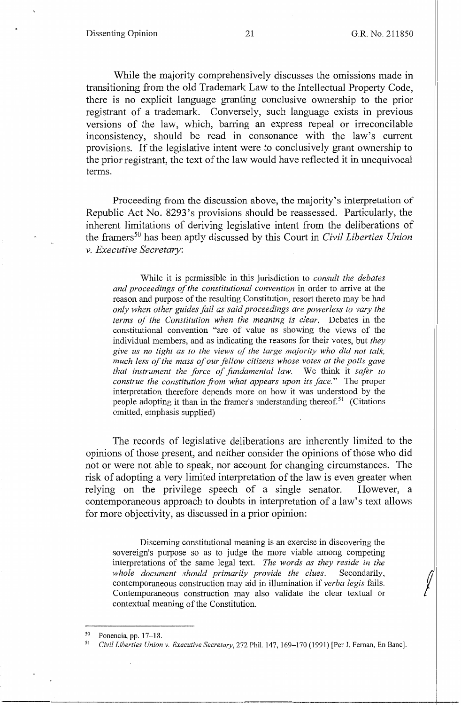While the majority comprehensively discusses the omissions made in transitioning from the old Trademark Law to the Intellectual Property Code, there is no explicit language granting conclusive ownership to the prior registrant of a trademark. Conversely, such language exists in previous versions of the law, which, barring an express repeal or irreconcilable inconsistency, should be read in consonance with the law's current provisions. If the legislative intent were to conclusively grant ownership to the prior registrant, the text of the law would have reflected it in unequivocal terms.

Proceeding from the discussion above, the majority's interpretation of Republic Act No. 8293 's provisions should be reassessed. Particularly, the inherent limitations of deriving legislative intent from the deliberations of the framers 50 has been aptly discussed by this Court in *Civil Liberties Union v. Executive Secretary:* 

While it is permissible in this jurisdiction to *consult the debates and proceedings of the constitutional convention* in order to arrive at the reason and purpose of the resulting Constitution, resort thereto may be had *only when other guides fail as said proceedings are powerless to vary the terms of the Constitution when the meaning is clear.* Debates in the constitutional convention "are of value as showing the views of the individual members, and as indicating the reasons for their votes, but *they give us no light as to the views of the large majority who did not talk, much less of the mass of our fellow citizens whose votes at the polls gave that instrument the force of fundamental law.* We think it *safer to construe the constitution from what appears upon its face."* The proper interpretation therefore depends more on how it was understood by the people adopting it than in the framer's understanding thereof.<sup>51</sup> (Citations omitted, emphasis supplied)

The records of legislative deliberations are inherently limited to the opinions of those present, and neither consider the opinions of those who did not or were not able to speak, nor account for changing circumstances. The risk of adopting a very limited interpretation of the law is even greater when relying on the privilege speech of a single senator. However, a contemporaneous approach to doubts in interpretation of a law's text allows for more objectivity, as discussed in a prior opinion:

Discerning constitutional meaning is an exercise in discovering the sovereign's purpose so as to judge the more viable among competing interpretations of the same legal text. *The words as they reside in the*  sovereign's purpose so as to judge the more viable among competing<br>interpretations of the same legal text. *The words as they reside in the*<br>*whole document should primarily provide the clues.* Secondarily, contemporaneous construction may aid in illumination if *verba legis* fails. Contemporaneous construction may also validate the clear textual or contextual meaning of the Constitution.

<sup>&</sup>lt;sup>50</sup> Ponencia, pp. 17–18.<br><sup>51</sup> Civil Liberties Union

<sup>51</sup> *Civil Liberties Union v. Executive Secretary,* 272 Phil. 147, 169-170 (1991) [Per J. Fernan, En Banc].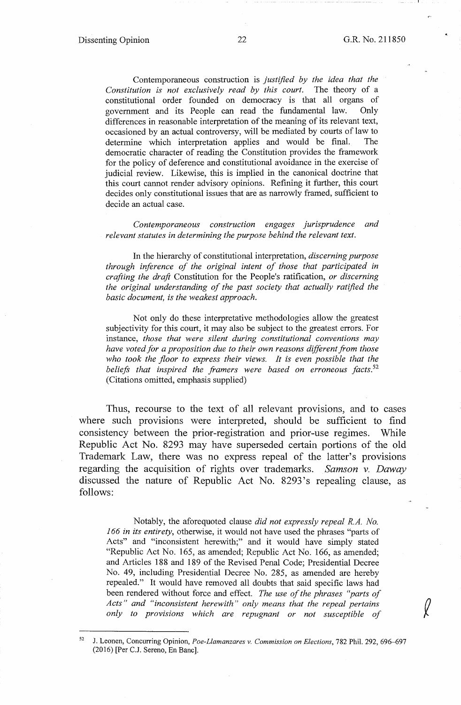Contemporaneous construction is *justified by the idea that the Constitution is not exclusively read by this court.* The theory of a constitutional order founded on democracy is that all organs of government and its People can read the fundamental law. Only differences in reasonable interpretation of the meaning of its relevant text, occasioned by an actual controversy, will be mediated by courts of law to determine which interpretation applies and would be final. The democratic character of reading the Constitution provides the framework for the policy of deference and constitutional avoidance in the exercise of judicial review. Likewise, this is implied in the canonical doctrine that this court cannot render advisory opinions. Refining it further, this court decides only constitutional issues that are as narrowly framed, sufficient to decide an actual case.

*Contemporaneous construction engages jurisprudence and relevant statutes in determining the purpose behind the relevant text.* 

In the hierarchy of constitutional interpretation, *discerning purpose through inference of the original intent of those that participated in crafting the draft* Constitution for the People's ratification, *or discerning the original understanding of the past society that actually ratified the basic document, is the weakest approach.* 

Not only do these interpretative methodologies allow the greatest subjectivity for this court, it may also be subject to the greatest errors. For instance, *those that were silent during constitutional conventions may have voted for a proposition due to their own reasons different from those*  who took the floor to express their views. It is even possible that the *beliefs that inspired the framers were based on erroneous facts. <sup>52</sup>* (Citations omitted, emphasis supplied)

Thus, recourse to the text of all relevant provisions, and to cases where such provisions were interpreted, should be sufficient to find consistency between the prior-registration and prior-use regimes. While Republic Act No. 8293 may have superseded certain portions of the old Trademark Law, there was no express repeal of the latter's provisions regarding the acquisition of rights over trademarks. *Samson v. Daway*  discussed the nature of Republic Act No. 8293 's repealing clause, as follows:

Notably, the aforequoted clause *did not expressly repeal R.A. No. 166 in its entirety,* otherwise, it would not have used the phrases "parts of Acts" and "inconsistent herewith;" and it would have simply stated "Republic Act No. 165, as amended; Republic Act No. 166, as amended; and Articles 188 and 189 of the Revised Penal Code; Presidential Decree No. 49, including Presidential Decree No. 285, as amended are hereby repealed." It would have removed all doubts that said specific laws had been rendered without force and effect. *The use of the phrases "parts of Acts" and "inconsistent herewith" only means that the repeal pertains only to provisions which are repugnant or not susceptible of* 

<sup>52</sup> J. Leonen, Concurring Opinion, *Poe-Llamanzares v. Commission on Elections,* 782 Phil. 292, 696--697 (2016) [Per C.J. Sereno, En Banc].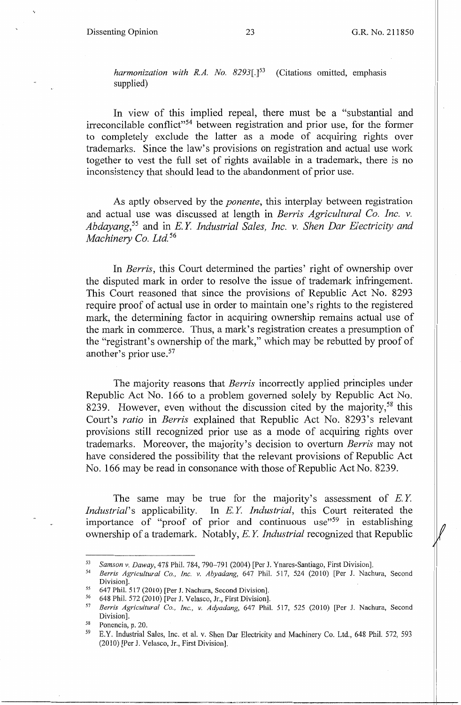*harmonization with R.A. No. 8293[.]5<sup>3</sup>*(Citations omitted, emphasis supplied)

In view of this implied repeal, there must be a "substantial and irreconcilable conflict"54 between registration and prior use, for the former to completely exclude the latter as a mode of acquiring rights over trademarks. Since the law's provisions on registration and actual use work together to vest the full set of rights available in a trademark, there is no inconsistency that should lead to the abandonment of prior use.

As aptly observed by the *ponente,* this interplay between registration and actual use was discussed at length in *Berris Agricultural Co. Inc. v. Abdayang,55* and in E. *Y Industrial Sales, Inc.* v. *Shen Dar Electricity and Machinery Co. Ltd.* <sup>56</sup>

In *Berris,* this Court determined the parties' right of ownership over the disputed mark in order to resolve the issue of trademark infringement. This Court reasoned that since the provisions of Republic Act No. 8293 require proof of actual use in order to maintain one's rights to the registered mark, the determining factor in acquiring ownership remains actual use of the mark in commerce. Thus, a mark's registration creates a presumption of the "registrant's ownership of the mark," which may be rebutted by proof of another's prior use.57

The majority reasons that *Berris* incorrectly applied principles under Republic Act No. 166 to a problem governed solely by Republic Act No. 8239. However, even without the discussion cited by the majority,<sup>58</sup> this Court's *ratio* in *Berris* explained that Republic Act No. 8293's relevant provisions still recognized prior use as a mode of acquiring rights over trademarks. Moreover, the majority's decision to overturn *Berris* may not have considered the possibility that the relevant provisions of Republic Act No. 166 may be read in consonance with those of Republic Act No. 8239.

The same may be true for the majority's assessment of *E.Y. Industrial's* applicability. In *E.Y. Industrial*, this Court reiterated the importance of "proof of prior and continuous use"59 in establishing ownership of a trademark. Notably, *E. Y Industrial* recognized that Republic

<sup>53</sup>*Samson v. Daway,* 478 Phil. 784, 790-791 (2004) [Per J. Ynares-Santiago, First Division]. 54 *Berris Agricultural Co., Inc. v. Abyadang,* 647 Phil. 517, 524 (2010) [Per J. Nachura, Second

Division].<br>
55 647 Phil. 517 (2010) [Per J. Nachura, Second Division].<br>
56 648 Phil. 572 (2010) [Per J. Velasco, Jr., First Division].<br>
57 *Berris Agricultural Co., Inc., v. Adyadang*, 647 Phil. 517, 525 (2010) [Per J. Nac

Division].<br><sup>58</sup> Ponencia, p. 20.

<sup>59</sup> E.Y. Industrial Sales, Inc. et al. v. Shen Dar Electricity and Machinery Co. Ltd., 648 Phil. 572, 593 (2010) [Per J. Velasco, Jr., First Division].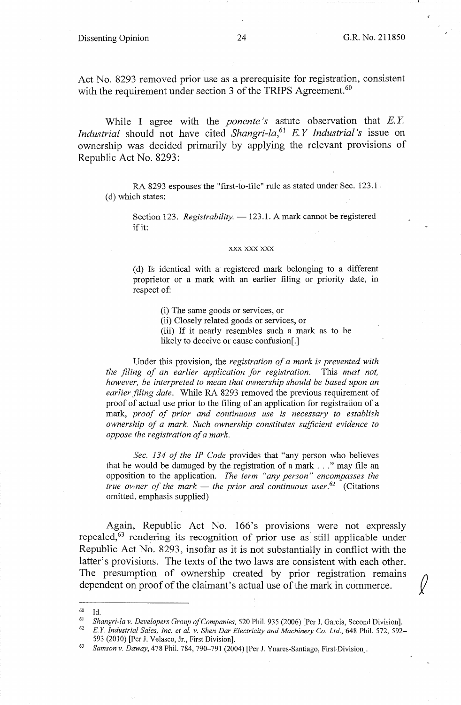### Dissenting Opinion 24 **G.R.** No. 211850

Act No. 8293 removed prior use as a prerequisite for registration, consistent with the requirement under section 3 of the TRIPS Agreement.<sup>60</sup>

While I agree with the *ponente's* astute observation that *E.Y. Industrial* should not have cited *Shangri-la,*61 E. *Y Industrial 's* issue on ownership was decided primarily by applying the relevant provisions of Republic Act No. 8293:

RA 8293 espouses the "first-to-file" rule as stated under Sec. 123.1. (d) which states:

Section 123. *Registrability.* - 123.1. A mark cannot be registered if it:

#### **XXX XXX XXX**

( d) Is identical with a· registered mark belonging to a different proprietor or a mark with an earlier filing or priority date, in respect of:

(i) The same goods or services, or

(ii) Closely related goods or services, or

(iii) If it nearly resembles such a mark as to be likely to deceive or cause confusion[.]

Under this provision, the *registration of a mark is prevented with the filing of an earlier application for registration.* This *must not, however, be interpreted to mean that ownership should be based upon an earlier filing date.* While RA 8293 removed the previous requirement of proof of actual use prior to the filing of an application for registration of a mark, *proof of prior and continuous use is necessary to establish ownership of a mark. Such ownership constitutes sufficient evidence to oppose the registration of a mark.* 

*Sec. 13 4 of the IP Code* provides that "any person who believes that he would be damaged by the registration of a mark ... " may file an opposition to the application. *The term "any person" encompasses the true owner of the mark — the prior and continuous user.*  $62$  (Citations omitted, emphasis supplied)

Again, Republic Act No. 166's provisions were not expressly repealed,<sup>63</sup> rendering its recognition of prior use as still applicable under Republic Act No. 8293, insofar as it is not substantially in conflict with the latter's provisions. The texts of the two laws are consistent with each other. The presumption of ownership created by prior registration remains dependent on proof of the claimant's actual use of the mark in commerce.

60 Id.

<sup>&</sup>lt;sup>61</sup> Shangri-la v. Developers Group of Companies, 520 Phil. 935 (2006) [Per J. Garcia, Second Division].<br><sup>62</sup> E.Y. Industrial Sales, Inc. et al. v. Shen Dar Electricity and Machinery Co. Ltd., 648 Phil. 572, 592-593 (2010) [Per J. Velasco, Jr., First Division]. 63 *Samson v. Daway,* 478 Phil. 784, 790-791 (2004) f Per J. Ynares-Santiago, First Division].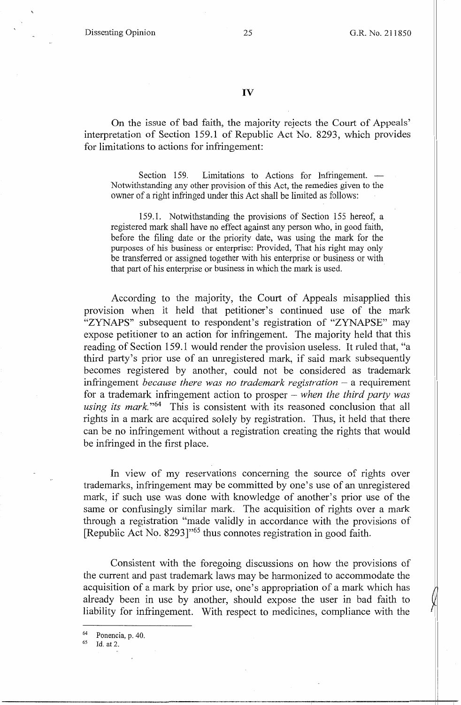On the issue of bad faith, the majority rejects the Court of Appeals' interpretation of Section 159.1 of Republic Act No. 8293, which provides for limitations to actions for infringement:

Section 159. Limitations to Actions for Infringement. -Notwithstanding any other provision of this Act, the remedies given to the owner of a right infringed under this Act shall be limited as follows:

159.1. Notwithstanding the provisions of Section 155 hereof, a registered mark shall have no effect against any person who, in good faith, before the filing date or the priority date, was using the mark for the purposes of his business or enterprise: Provided, That his right may only be transferred or assigned together with his enterprise or business or with that part of his enterprise or business in which the mark is used.

According to the majority, the Court of Appeals misapplied this provision when it held that petitioner's continued use of the mark "ZYNAPS" subsequent to respondent's registration of "ZYNAPSE" may expose petitioner to an action for infringement. The majority held that this reading of Section 159.1 would render the provision useless. It ruled that, "a third party's prior use of an unregistered mark, if said mark subsequently becomes registered by another, could not be considered as trademark infringement *because there was no trademark registration* – a requirement for a trademark infringement action to prosper - *when the third party was using its mark.*<sup>"64</sup> This is consistent with its reasoned conclusion that all rights in a mark are acquired solely by registration. Thus, it held that there can be no infringement without a registration creating the rights that would be infringed in the first place.

In view of my reservations concerning the source of rights over trademarks, infringement may be committed by one's use of an unregistered mark, if such use was done with knowledge of another's prior use of the same or confusingly similar mark. The acquisition of rights over a mark through a registration "made validly in accordance with the provisions of [Republic Act No. 8293]<sup>"65</sup> thus connotes registration in good faith.

Consistent with the foregoing discussions on how the provisions of the current and past trademark laws may be harmonized to accommodate the acquisition of a mark by prior use, one's appropriation of a mark which has already been in use by another, should expose the user in bad faith to liability for infringement. With respect to medicines, compliance with the

 $64$  Ponencia, p. 40.<br> $65$  Id. at 2.